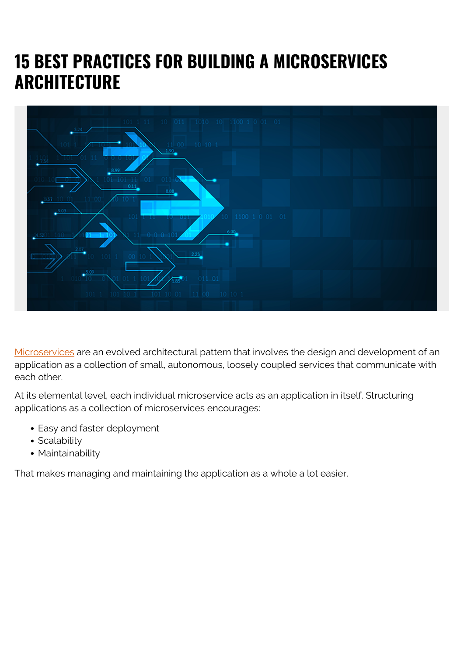# **15 BEST PRACTICES FOR BUILDING A MICROSERVICES ARCHITECTURE**



[Microservices](https://blogs.bmc.com/blogs/devops-microservices/) are an evolved architectural pattern that involves the design and development of an application as a collection of small, autonomous, loosely coupled services that communicate with each other.

At its elemental level, each individual microservice acts as an application in itself. Structuring applications as a collection of microservices encourages:

- Easy and faster deployment
- Scalability
- Maintainability

That makes managing and maintaining the application as a whole a lot easier.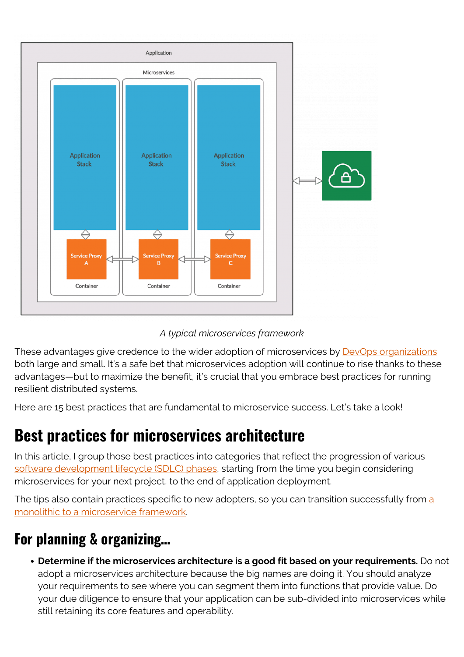



These advantages give credence to the wider adoption of microservices by **[DevOps organizations](https://blogs.bmc.com/blogs/devops-culture/)** both large and small. It's a safe bet that microservices adoption will continue to rise thanks to these advantages—but to maximize the benefit, it's crucial that you embrace best practices for running resilient distributed systems.

Here are 15 best practices that are fundamental to microservice success. Let's take a look!

### **Best practices for microservices architecture**

In this article, I group those best practices into categories that reflect the progression of various [software development lifecycle \(SDLC\) phases](https://blogs.bmc.com/blogs/sdlc-software-development-lifecycle/), starting from the time you begin considering microservices for your next project, to the end of application deployment.

The tips [a](https://blogs.bmc.com/blogs/microservices-architecture/)lso contain practices specific to new adopters, so you can transition successfully from a [monolithic to a microservice framework.](https://blogs.bmc.com/blogs/microservices-architecture/)

#### **For planning & organizing…**

**Determine if the microservices architecture is a good fit based on your requirements.** Do not adopt a microservices architecture because the big names are doing it. You should analyze your requirements to see where you can segment them into functions that provide value. Do your due diligence to ensure that your application can be sub-divided into microservices while still retaining its core features and operability.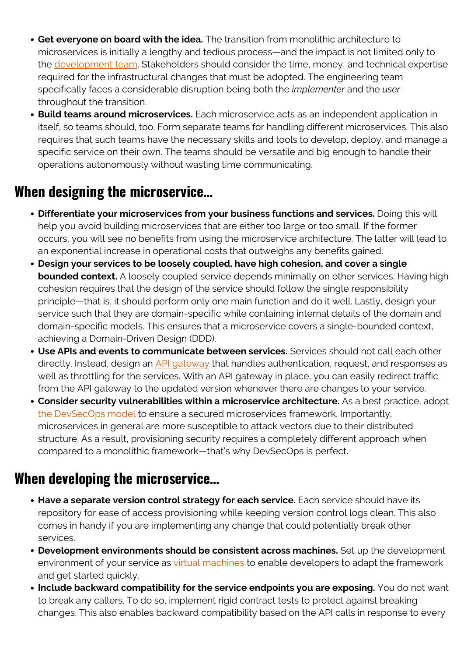- **Get everyone on board with the idea.** The transition from monolithic architecture to microservices is initially a lengthy and tedious process—and the impact is not limited only to the [development team](https://blogs.bmc.com/blogs/it-teams/). Stakeholders should consider the time, money, and technical expertise required for the infrastructural changes that must be adopted. The engineering team specifically faces a considerable disruption being both the *implementer* and the *user* throughout the transition.
- **Build teams around microservices.** Each microservice acts as an independent application in itself, so teams should, too. Form separate teams for handling different microservices. This also requires that such teams have the necessary skills and tools to develop, deploy, and manage a specific service on their own. The teams should be versatile and big enough to handle their operations autonomously without wasting time communicating.

#### **When designing the microservice…**

- **Differentiate your microservices from your business functions and services.** Doing this will help you avoid building microservices that are either too large or too small. If the former occurs, you will see no benefits from using the microservice architecture. The latter will lead to an exponential increase in operational costs that outweighs any benefits gained.
- **Design your services to be loosely coupled, have high cohesion, and cover a single bounded context.** A loosely coupled service depends minimally on other services. Having high cohesion requires that the design of the service should follow the single responsibility principle—that is, it should perform only one main function and do it well. Lastly, design your service such that they are domain-specific while containing internal details of the domain and domain-specific models. This ensures that a microservice covers a single-bounded context, achieving a Domain-Driven Design (DDD).
- **Use APIs and events to communicate between services.** Services should not call each other directly. Instead, design an [API gateway](https://www.bmc.com/blogs/microservice-vs-api/) that handles authentication, request, and responses as well as throttling for the services. With an API gateway in place, you can easily redirect traffic from the API gateway to the updated version whenever there are changes to your service.
- **Consider security vulnerabilities within a microservice architecture.** As a best practice, adopt [the DevSecOps model](https://www.bmc.com/blogs/devops-devsecops/) to ensure a secured microservices framework. Importantly, microservices in general are more susceptible to attack vectors due to their distributed structure. As a result, provisioning security requires a completely different approach when compared to a monolithic framework—that's why DevSecOps is perfect.

#### **When developing the microservice…**

- **Have a separate version control strategy for each service.** Each service should have its repository for ease of access provisioning while keeping version control logs clean. This also comes in handy if you are implementing any change that could potentially break other services.
- **Development environments should be consistent across machines.** Set up the development environment of your service as [virtual machines](https://blogs.bmc.com/blogs/containers-vs-virtual-machines/) to enable developers to adapt the framework and get started quickly.
- **Include backward compatibility for the service endpoints you are exposing.** You do not want to break any callers. To do so, implement rigid contract tests to protect against breaking changes. This also enables backward compatibility based on the API calls in response to every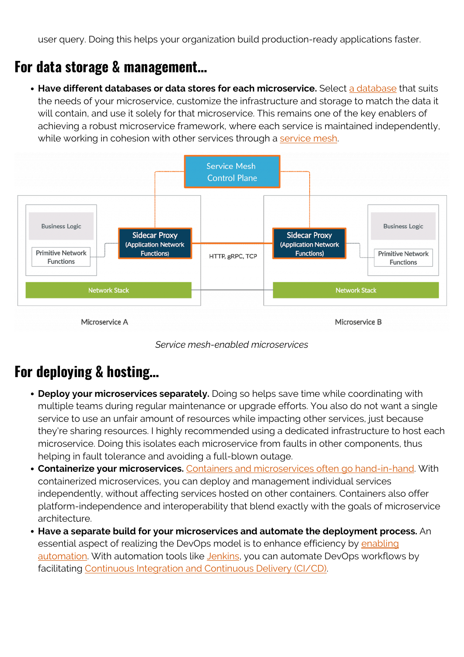user query. Doing this helps your organization build production-ready applications faster.

#### **For data storage & management…**

**• Have different databases or data stores for each microservice.** Select [a database](https://blogs.bmc.com/blogs/data-lake-vs-data-warehouse-vs-database-whats-the-difference/) that suits the needs of your microservice, customize the infrastructure and storage to match the data it will contain, and use it solely for that microservice. This remains one of the key enablers of achieving a robust microservice framework, where each service is maintained independently, while working in cohesion with other services through a [service mesh.](https://blogs.bmc.com/blogs/service-mesh/)





#### **For deploying & hosting…**

- **Deploy your microservices separately.** Doing so helps save time while coordinating with multiple teams during regular maintenance or upgrade efforts. You also do not want a single service to use an unfair amount of resources while impacting other services, just because they're sharing resources. I highly recommended using a dedicated infrastructure to host each microservice. Doing this isolates each microservice from faults in other components, thus helping in fault tolerance and avoiding a full-blown outage.
- **Containerize your microservices.** [Containers and microservices often go hand-in-hand.](https://blogs.bmc.com/blogs/getting-started-containers-microservices/) With containerized microservices, you can deploy and management individual services independently, without affecting services hosted on other containers. Containers also offer platform-independence and interoperability that blend exactly with the goals of microservice architecture.
- **Have a separate build for your microservices and automate the deployment process.** An essential aspect of realizing the DevOps model is to enhance efficiency by [enabling](https://blogs.bmc.com/blogs/it-orchestration-vs-automation-whats-the-difference/) [automation.](https://blogs.bmc.com/blogs/it-orchestration-vs-automation-whats-the-difference/) With automation tools like [Jenkins](https://www.jenkins.io/), you can automate DevOps workflows by facilitating [Continuous Integration and Continuous Delivery \(CI/CD\)](https://blogs.bmc.com/blogs/deployment-pipeline/).